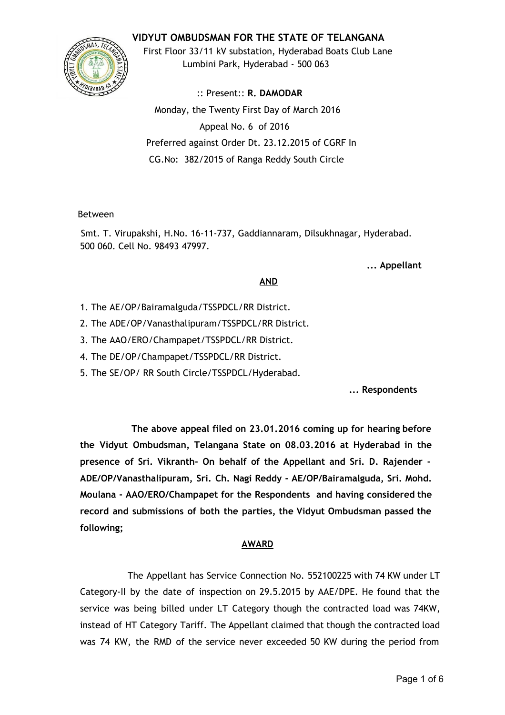# **VIDYUT OMBUDSMAN FOR THE STATE OF TELANGANA**



First Floor 33/11 kV substation, Hyderabad Boats Club Lane Lumbini Park, Hyderabad ‐ 500 063

:: Present:: **R. DAMODAR** Monday, the Twenty First Day of March 2016 Appeal No. 6 of 2016 Preferred against Order Dt. 23.12.2015 of CGRF In CG.No: 382/2015 of Ranga Reddy South Circle

#### Between

Smt. T. Virupakshi, H.No. 16‐11‐737, Gaddiannaram, Dilsukhnagar, Hyderabad. 500 060. Cell No. 98493 47997.

**... Appellant**

## **AND**

- 1. The AE/OP/Bairamalguda/TSSPDCL/RR District.
- 2. The ADE/OP/Vanasthalipuram/TSSPDCL/RR District.
- 3. The AAO/ERO/Champapet/TSSPDCL/RR District.
- 4. The DE/OP/Champapet/TSSPDCL/RR District.
- 5. The SE/OP/ RR South Circle/TSSPDCL/Hyderabad.

**... Respondents**

**The above appeal filed on 23.01.2016 coming up for hearing before the Vidyut Ombudsman, Telangana State on 08.03.2016 at Hyderabad in the presence of Sri. Vikranth‐ On behalf of the Appellant and Sri. D. Rajender ‐ ADE/OP/Vanasthalipuram, Sri. Ch. Nagi Reddy ‐ AE/OP/Bairamalguda, Sri. Mohd. Moulana ‐ AAO/ERO/Champapet for the Respondents and having considered the record and submissions of both the parties, the Vidyut Ombudsman passed the following;**

## **AWARD**

The Appellant has Service Connection No. 552100225 with 74 KW under LT Category‐II by the date of inspection on 29.5.2015 by AAE/DPE. He found that the service was being billed under LT Category though the contracted load was 74KW, instead of HT Category Tariff. The Appellant claimed that though the contracted load was 74 KW, the RMD of the service never exceeded 50 KW during the period from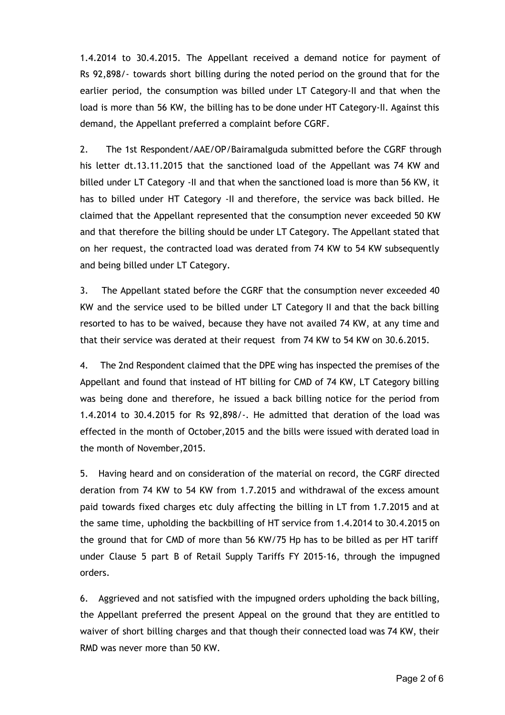1.4.2014 to 30.4.2015. The Appellant received a demand notice for payment of Rs 92,898/‐ towards short billing during the noted period on the ground that for the earlier period, the consumption was billed under LT Category‐II and that when the load is more than 56 KW, the billing has to be done under HT Category‐II. Against this demand, the Appellant preferred a complaint before CGRF.

2. The 1st Respondent/AAE/OP/Bairamalguda submitted before the CGRF through his letter dt.13.11.2015 that the sanctioned load of the Appellant was 74 KW and billed under LT Category ‐II and that when the sanctioned load is more than 56 KW, it has to billed under HT Category ‐II and therefore, the service was back billed. He claimed that the Appellant represented that the consumption never exceeded 50 KW and that therefore the billing should be under LT Category. The Appellant stated that on her request, the contracted load was derated from 74 KW to 54 KW subsequently and being billed under LT Category.

3. The Appellant stated before the CGRF that the consumption never exceeded 40 KW and the service used to be billed under LT Category II and that the back billing resorted to has to be waived, because they have not availed 74 KW, at any time and that their service was derated at their request from 74 KW to 54 KW on 30.6.2015.

4. The 2nd Respondent claimed that the DPE wing has inspected the premises of the Appellant and found that instead of HT billing for CMD of 74 KW, LT Category billing was being done and therefore, he issued a back billing notice for the period from 1.4.2014 to 30.4.2015 for Rs 92,898/‐. He admitted that deration of the load was effected in the month of October,2015 and the bills were issued with derated load in the month of November,2015.

5. Having heard and on consideration of the material on record, the CGRF directed deration from 74 KW to 54 KW from 1.7.2015 and withdrawal of the excess amount paid towards fixed charges etc duly affecting the billing in LT from 1.7.2015 and at the same time, upholding the backbilling of HT service from 1.4.2014 to 30.4.2015 on the ground that for CMD of more than 56 KW/75 Hp has to be billed as per HT tariff under Clause 5 part B of Retail Supply Tariffs FY 2015‐16, through the impugned orders.

6. Aggrieved and not satisfied with the impugned orders upholding the back billing, the Appellant preferred the present Appeal on the ground that they are entitled to waiver of short billing charges and that though their connected load was 74 KW, their RMD was never more than 50 KW.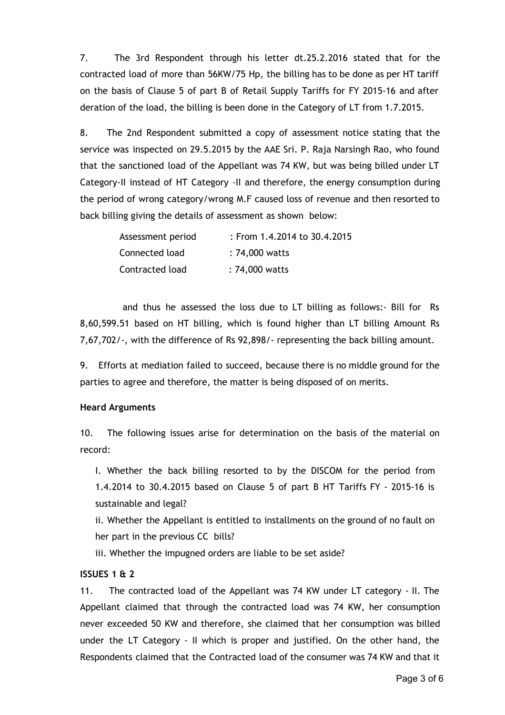7. The 3rd Respondent through his letter dt.25.2.2016 stated that for the contracted load of more than 56KW/75 Hp, the billing has to be done as per HT tariff on the basis of Clause 5 of part B of Retail Supply Tariffs for FY 2015‐16 and after deration of the load, the billing is been done in the Category of LT from 1.7.2015.

8. The 2nd Respondent submitted a copy of assessment notice stating that the service was inspected on 29.5.2015 by the AAE Sri. P. Raja Narsingh Rao, who found that the sanctioned load of the Appellant was 74 KW, but was being billed under LT Category‐II instead of HT Category ‐II and therefore, the energy consumption during the period of wrong category/wrong M.F caused loss of revenue and then resorted to back billing giving the details of assessment as shown below:

| Assessment period | $:$ From 1.4.2014 to 30.4.2015 |
|-------------------|--------------------------------|
| Connected load    | : 74,000 watts                 |
| Contracted load   | : 74,000 watts                 |

and thus he assessed the loss due to LT billing as follows:‐ Bill for Rs 8,60,599.51 based on HT billing, which is found higher than LT billing Amount Rs 7,67,702/‐, with the difference of Rs 92,898/‐ representing the back billing amount.

9. Efforts at mediation failed to succeed, because there is no middle ground for the parties to agree and therefore, the matter is being disposed of on merits.

## **Heard Arguments**

10. The following issues arise for determination on the basis of the material on record:

I. Whether the back billing resorted to by the DISCOM for the period from 1.4.2014 to 30.4.2015 based on Clause 5 of part B HT Tariffs FY ‐ 2015‐16 is sustainable and legal?

ii. Whether the Appellant is entitled to installments on the ground of no fault on her part in the previous CC bills?

iii. Whether the impugned orders are liable to be set aside?

# **ISSUES 1 & 2**

11. The contracted load of the Appellant was 74 KW under LT category ‐ II. The Appellant claimed that through the contracted load was 74 KW, her consumption never exceeded 50 KW and therefore, she claimed that her consumption was billed under the LT Category - II which is proper and justified. On the other hand, the Respondents claimed that the Contracted load of the consumer was 74 KW and that it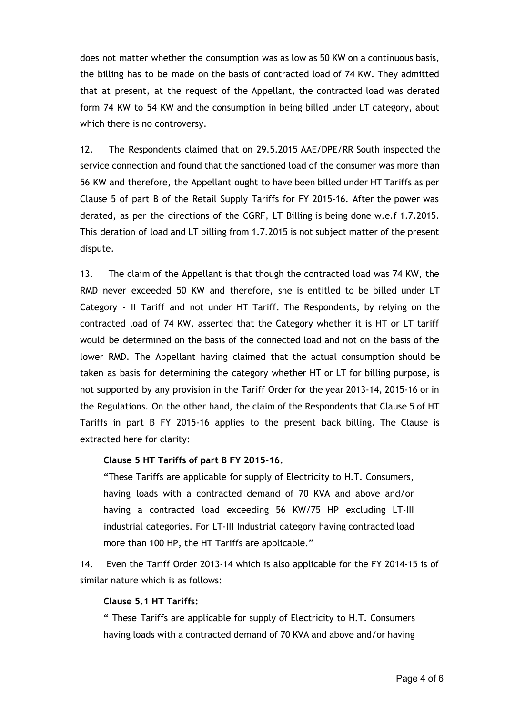does not matter whether the consumption was as low as 50 KW on a continuous basis, the billing has to be made on the basis of contracted load of 74 KW. They admitted that at present, at the request of the Appellant, the contracted load was derated form 74 KW to 54 KW and the consumption in being billed under LT category, about which there is no controversy.

12. The Respondents claimed that on 29.5.2015 AAE/DPE/RR South inspected the service connection and found that the sanctioned load of the consumer was more than 56 KW and therefore, the Appellant ought to have been billed under HT Tariffs as per Clause 5 of part B of the Retail Supply Tariffs for FY 2015‐16. After the power was derated, as per the directions of the CGRF, LT Billing is being done w.e.f 1.7.2015. This deration of load and LT billing from 1.7.2015 is not subject matter of the present dispute.

13. The claim of the Appellant is that though the contracted load was 74 KW, the RMD never exceeded 50 KW and therefore, she is entitled to be billed under LT Category ‐ II Tariff and not under HT Tariff. The Respondents, by relying on the contracted load of 74 KW, asserted that the Category whether it is HT or LT tariff would be determined on the basis of the connected load and not on the basis of the lower RMD. The Appellant having claimed that the actual consumption should be taken as basis for determining the category whether HT or LT for billing purpose, is not supported by any provision in the Tariff Order for the year 2013‐14, 2015‐16 or in the Regulations. On the other hand, the claim of the Respondents that Clause 5 of HT Tariffs in part B FY 2015-16 applies to the present back billing. The Clause is extracted here for clarity:

#### **Clause 5 HT Tariffs of part B FY 2015‐16.**

"These Tariffs are applicable for supply of Electricity to H.T. Consumers, having loads with a contracted demand of 70 KVA and above and/or having a contracted load exceeding 56 KW/75 HP excluding LT‐III industrial categories. For LT‐III Industrial category having contracted load more than 100 HP, the HT Tariffs are applicable."

14. Even the Tariff Order 2013‐14 which is also applicable for the FY 2014‐15 is of similar nature which is as follows:

### **Clause 5.1 HT Tariffs:**

" These Tariffs are applicable for supply of Electricity to H.T. Consumers having loads with a contracted demand of 70 KVA and above and/or having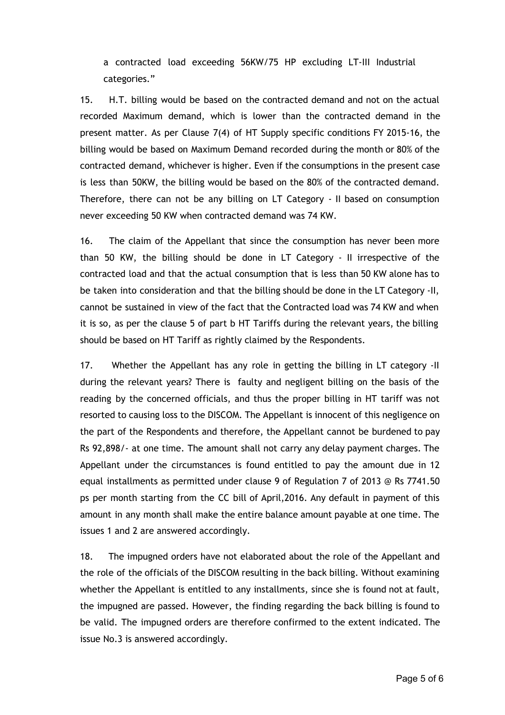a contracted load exceeding 56KW/75 HP excluding LT‐III Industrial categories."

15. H.T. billing would be based on the contracted demand and not on the actual recorded Maximum demand, which is lower than the contracted demand in the present matter. As per Clause 7(4) of HT Supply specific conditions FY 2015‐16, the billing would be based on Maximum Demand recorded during the month or 80% of the contracted demand, whichever is higher. Even if the consumptions in the present case is less than 50KW, the billing would be based on the 80% of the contracted demand. Therefore, there can not be any billing on LT Category ‐ II based on consumption never exceeding 50 KW when contracted demand was 74 KW.

16. The claim of the Appellant that since the consumption has never been more than 50 KW, the billing should be done in LT Category ‐ II irrespective of the contracted load and that the actual consumption that is less than 50 KW alone has to be taken into consideration and that the billing should be done in the LT Category ‐II, cannot be sustained in view of the fact that the Contracted load was 74 KW and when it is so, as per the clause 5 of part b HT Tariffs during the relevant years, the billing should be based on HT Tariff as rightly claimed by the Respondents.

17. Whether the Appellant has any role in getting the billing in LT category -II during the relevant years? There is faulty and negligent billing on the basis of the reading by the concerned officials, and thus the proper billing in HT tariff was not resorted to causing loss to the DISCOM. The Appellant is innocent of this negligence on the part of the Respondents and therefore, the Appellant cannot be burdened to pay Rs 92,898/‐ at one time. The amount shall not carry any delay payment charges. The Appellant under the circumstances is found entitled to pay the amount due in 12 equal installments as permitted under clause 9 of Regulation 7 of 2013 @ Rs 7741.50 ps per month starting from the CC bill of April,2016. Any default in payment of this amount in any month shall make the entire balance amount payable at one time. The issues 1 and 2 are answered accordingly.

18. The impugned orders have not elaborated about the role of the Appellant and the role of the officials of the DISCOM resulting in the back billing. Without examining whether the Appellant is entitled to any installments, since she is found not at fault, the impugned are passed. However, the finding regarding the back billing is found to be valid. The impugned orders are therefore confirmed to the extent indicated. The issue No.3 is answered accordingly.